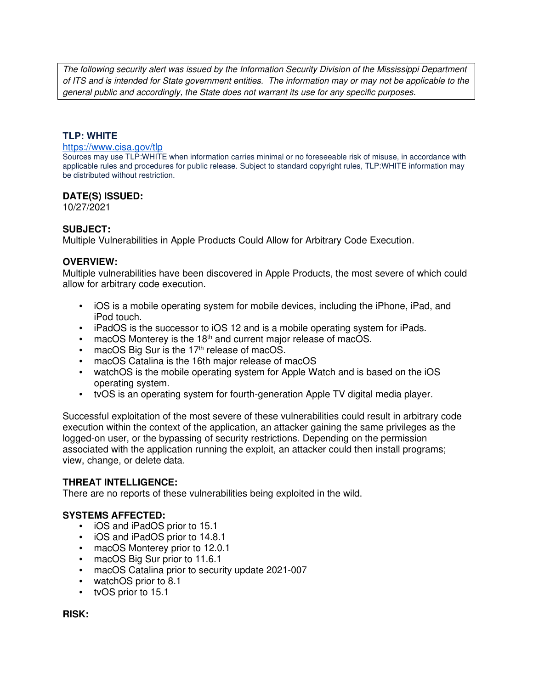The following security alert was issued by the Information Security Division of the Mississippi Department of ITS and is intended for State government entities. The information may or may not be applicable to the general public and accordingly, the State does not warrant its use for any specific purposes.

### **TLP: WHITE**

#### https://www.cisa.gov/tlp

Sources may use TLP:WHITE when information carries minimal or no foreseeable risk of misuse, in accordance with applicable rules and procedures for public release. Subject to standard copyright rules, TLP:WHITE information may be distributed without restriction.

### **DATE(S) ISSUED:**

10/27/2021

### **SUBJECT:**

Multiple Vulnerabilities in Apple Products Could Allow for Arbitrary Code Execution.

#### **OVERVIEW:**

Multiple vulnerabilities have been discovered in Apple Products, the most severe of which could allow for arbitrary code execution.

- iOS is a mobile operating system for mobile devices, including the iPhone, iPad, and iPod touch.
- iPadOS is the successor to iOS 12 and is a mobile operating system for iPads.
- $\bullet$  macOS Monterey is the 18<sup>th</sup> and current major release of macOS.
- $\bullet$  macOS Big Sur is the 17<sup>th</sup> release of macOS.
- macOS Catalina is the 16th major release of macOS
- watchOS is the mobile operating system for Apple Watch and is based on the iOS operating system.
- tvOS is an operating system for fourth-generation Apple TV digital media player.

Successful exploitation of the most severe of these vulnerabilities could result in arbitrary code execution within the context of the application, an attacker gaining the same privileges as the logged-on user, or the bypassing of security restrictions. Depending on the permission associated with the application running the exploit, an attacker could then install programs; view, change, or delete data.

#### **THREAT INTELLIGENCE:**

There are no reports of these vulnerabilities being exploited in the wild.

#### **SYSTEMS AFFECTED:**

- iOS and iPadOS prior to 15.1
- iOS and iPadOS prior to 14.8.1
- macOS Monterey prior to 12.0.1
- macOS Big Sur prior to 11.6.1
- macOS Catalina prior to security update 2021-007
- watchOS prior to 8.1
- tvOS prior to 15.1

**RISK:**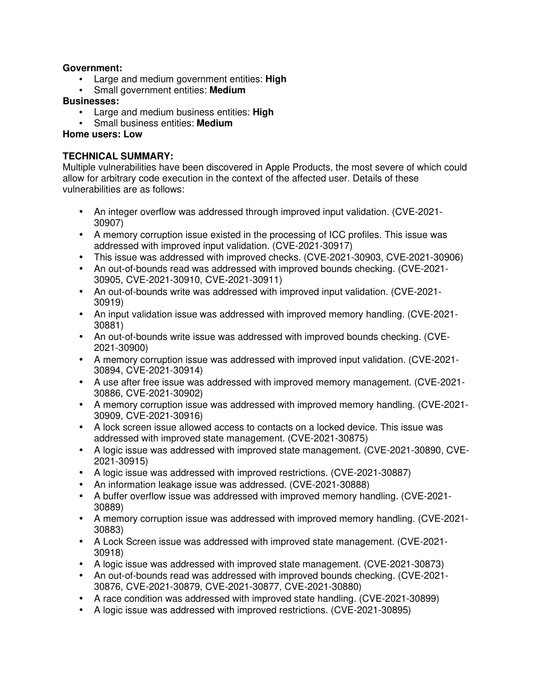### **Government:**

- Large and medium government entities: **High**
- Small government entities: **Medium**

### **Businesses:**

- Large and medium business entities: **High**
- Small business entities: **Medium**

## **Home users: Low**

## **TECHNICAL SUMMARY:**

Multiple vulnerabilities have been discovered in Apple Products, the most severe of which could allow for arbitrary code execution in the context of the affected user. Details of these vulnerabilities are as follows:

- An integer overflow was addressed through improved input validation. (CVE-2021- 30907)
- A memory corruption issue existed in the processing of ICC profiles. This issue was addressed with improved input validation. (CVE-2021-30917)
- This issue was addressed with improved checks. (CVE-2021-30903, CVE-2021-30906)
- An out-of-bounds read was addressed with improved bounds checking. (CVE-2021- 30905, CVE-2021-30910, CVE-2021-30911)
- An out-of-bounds write was addressed with improved input validation. (CVE-2021- 30919)
- An input validation issue was addressed with improved memory handling. (CVE-2021- 30881)
- An out-of-bounds write issue was addressed with improved bounds checking. (CVE-2021-30900)
- A memory corruption issue was addressed with improved input validation. (CVE-2021- 30894, CVE-2021-30914)
- A use after free issue was addressed with improved memory management. (CVE-2021- 30886, CVE-2021-30902)
- A memory corruption issue was addressed with improved memory handling. (CVE-2021- 30909, CVE-2021-30916)
- A lock screen issue allowed access to contacts on a locked device. This issue was addressed with improved state management. (CVE-2021-30875)
- A logic issue was addressed with improved state management. (CVE-2021-30890, CVE-2021-30915)
- A logic issue was addressed with improved restrictions. (CVE-2021-30887)
- An information leakage issue was addressed. (CVE-2021-30888)
- A buffer overflow issue was addressed with improved memory handling. (CVE-2021- 30889)
- A memory corruption issue was addressed with improved memory handling. (CVE-2021- 30883)
- A Lock Screen issue was addressed with improved state management. (CVE-2021- 30918)
- A logic issue was addressed with improved state management. (CVE-2021-30873)
- An out-of-bounds read was addressed with improved bounds checking. (CVE-2021- 30876, CVE-2021-30879, CVE-2021-30877, CVE-2021-30880)
- A race condition was addressed with improved state handling. (CVE-2021-30899)
- A logic issue was addressed with improved restrictions. (CVE-2021-30895)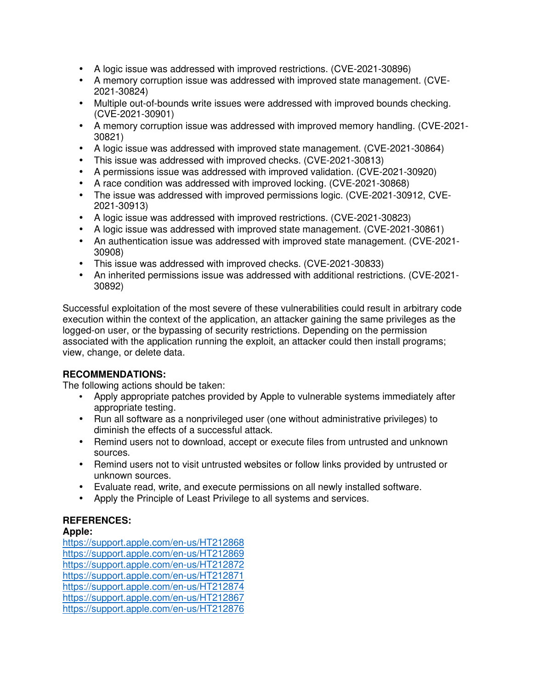- A logic issue was addressed with improved restrictions. (CVE-2021-30896)
- A memory corruption issue was addressed with improved state management. (CVE-2021-30824)
- Multiple out-of-bounds write issues were addressed with improved bounds checking. (CVE-2021-30901)
- A memory corruption issue was addressed with improved memory handling. (CVE-2021- 30821)
- A logic issue was addressed with improved state management. (CVE-2021-30864)
- This issue was addressed with improved checks. (CVE-2021-30813)
- A permissions issue was addressed with improved validation. (CVE-2021-30920)
- A race condition was addressed with improved locking. (CVE-2021-30868)
- The issue was addressed with improved permissions logic. (CVE-2021-30912, CVE-2021-30913)
- A logic issue was addressed with improved restrictions. (CVE-2021-30823)
- A logic issue was addressed with improved state management. (CVE-2021-30861)
- An authentication issue was addressed with improved state management. (CVE-2021- 30908)
- This issue was addressed with improved checks. (CVE-2021-30833)
- An inherited permissions issue was addressed with additional restrictions. (CVE-2021- 30892)

Successful exploitation of the most severe of these vulnerabilities could result in arbitrary code execution within the context of the application, an attacker gaining the same privileges as the logged-on user, or the bypassing of security restrictions. Depending on the permission associated with the application running the exploit, an attacker could then install programs; view, change, or delete data.

# **RECOMMENDATIONS:**

The following actions should be taken:

- Apply appropriate patches provided by Apple to vulnerable systems immediately after appropriate testing.
- Run all software as a nonprivileged user (one without administrative privileges) to diminish the effects of a successful attack.
- Remind users not to download, accept or execute files from untrusted and unknown sources.
- Remind users not to visit untrusted websites or follow links provided by untrusted or unknown sources.
- Evaluate read, write, and execute permissions on all newly installed software.
- Apply the Principle of Least Privilege to all systems and services.

# **REFERENCES:**

### **Apple:**

https://support.apple.com/en-us/HT212868 https://support.apple.com/en-us/HT212869 https://support.apple.com/en-us/HT212872 https://support.apple.com/en-us/HT212871 https://support.apple.com/en-us/HT212874 https://support.apple.com/en-us/HT212867 https://support.apple.com/en-us/HT212876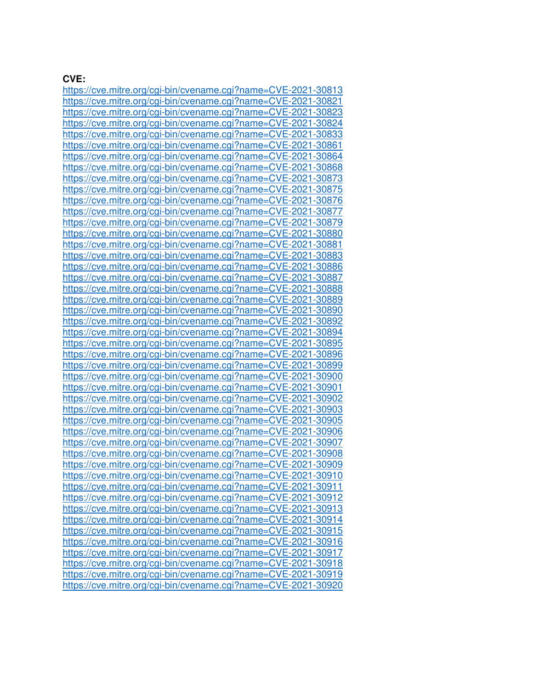#### **CVE:**

https://cve.mitre.org/cgi-bin/cvename.cgi?name=CVE-2021-30813 https://cve.mitre.org/cgi-bin/cvename.cgi?name=CVE-2021-30821 https://cve.mitre.org/cgi-bin/cvename.cgi?name=CVE-2021-30823 https://cve.mitre.org/cgi-bin/cvename.cgi?name=CVE-2021-30824 https://cve.mitre.org/cgi-bin/cvename.cgi?name=CVE-2021-30833 https://cve.mitre.org/cgi-bin/cvename.cgi?name=CVE-2021-30861 https://cve.mitre.org/cgi-bin/cvename.cgi?name=CVE-2021-30864 https://cve.mitre.org/cgi-bin/cvename.cgi?name=CVE-2021-30868 https://cve.mitre.org/cgi-bin/cvename.cgi?name=CVE-2021-30873 https://cve.mitre.org/cgi-bin/cvename.cgi?name=CVE-2021-30875 https://cve.mitre.org/cgi-bin/cvename.cgi?name=CVE-2021-30876 https://cve.mitre.org/cgi-bin/cvename.cgi?name=CVE-2021-30877 https://cve.mitre.org/cgi-bin/cvename.cgi?name=CVE-2021-30879 https://cve.mitre.org/cgi-bin/cvename.cgi?name=CVE-2021-30880 https://cve.mitre.org/cgi-bin/cvename.cgi?name=CVE-2021-30881 https://cve.mitre.org/cgi-bin/cvename.cgi?name=CVE-2021-30883 https://cve.mitre.org/cgi-bin/cvename.cgi?name=CVE-2021-30886 https://cve.mitre.org/cgi-bin/cvename.cgi?name=CVE-2021-30887 https://cve.mitre.org/cgi-bin/cvename.cgi?name=CVE-2021-30888 https://cve.mitre.org/cgi-bin/cvename.cgi?name=CVE-2021-30889 https://cve.mitre.org/cgi-bin/cvename.cgi?name=CVE-2021-30890 https://cve.mitre.org/cgi-bin/cvename.cgi?name=CVE-2021-30892 https://cve.mitre.org/cgi-bin/cvename.cgi?name=CVE-2021-30894 https://cve.mitre.org/cgi-bin/cvename.cgi?name=CVE-2021-30895 https://cve.mitre.org/cgi-bin/cvename.cgi?name=CVE-2021-30896 https://cve.mitre.org/cgi-bin/cvename.cgi?name=CVE-2021-30899 https://cve.mitre.org/cgi-bin/cvename.cgi?name=CVE-2021-30900 https://cve.mitre.org/cgi-bin/cvename.cgi?name=CVE-2021-30901 https://cve.mitre.org/cgi-bin/cvename.cgi?name=CVE-2021-30902 https://cve.mitre.org/cgi-bin/cvename.cgi?name=CVE-2021-30903 https://cve.mitre.org/cgi-bin/cvename.cgi?name=CVE-2021-30905 https://cve.mitre.org/cgi-bin/cvename.cgi?name=CVE-2021-30906 https://cve.mitre.org/cgi-bin/cvename.cgi?name=CVE-2021-30907 https://cve.mitre.org/cgi-bin/cvename.cgi?name=CVE-2021-30908 https://cve.mitre.org/cgi-bin/cvename.cgi?name=CVE-2021-30909 https://cve.mitre.org/cgi-bin/cvename.cgi?name=CVE-2021-30910 https://cve.mitre.org/cgi-bin/cvename.cgi?name=CVE-2021-30911 https://cve.mitre.org/cgi-bin/cvename.cgi?name=CVE-2021-30912 https://cve.mitre.org/cgi-bin/cvename.cgi?name=CVE-2021-30913 https://cve.mitre.org/cgi-bin/cvename.cgi?name=CVE-2021-30914 https://cve.mitre.org/cgi-bin/cvename.cgi?name=CVE-2021-30915 https://cve.mitre.org/cgi-bin/cvename.cgi?name=CVE-2021-30916 https://cve.mitre.org/cgi-bin/cvename.cgi?name=CVE-2021-30917 https://cve.mitre.org/cgi-bin/cvename.cgi?name=CVE-2021-30918 https://cve.mitre.org/cgi-bin/cvename.cgi?name=CVE-2021-30919 https://cve.mitre.org/cgi-bin/cvename.cgi?name=CVE-2021-30920